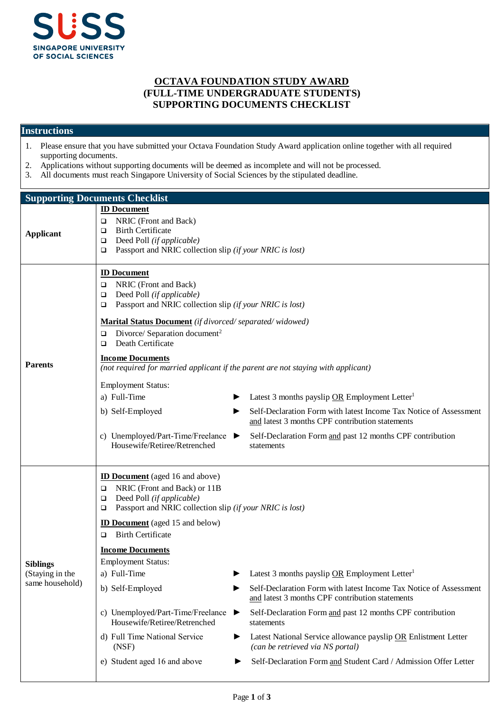

## **OCTAVA FOUNDATION STUDY AWARD (FULL-TIME UNDERGRADUATE STUDENTS) SUPPORTING DOCUMENTS CHECKLIST**

## **Instructions**

- 1. Please ensure that you have submitted your Octava Foundation Study Award application online together with all required supporting documents.
- 2. Applications without supporting documents will be deemed as incomplete and will not be processed.<br>3. All documents must reach Singapore University of Social Sciences by the stipulated deadline.
- All documents must reach Singapore University of Social Sciences by the stipulated deadline.

| <b>Supporting Documents Checklist</b>                 |                                                                                                                                                                                                                                                                                                                                                                                                                                                                                                                                                                                                                                                                                                                                                                                                                                                                                                                                                              |  |  |  |
|-------------------------------------------------------|--------------------------------------------------------------------------------------------------------------------------------------------------------------------------------------------------------------------------------------------------------------------------------------------------------------------------------------------------------------------------------------------------------------------------------------------------------------------------------------------------------------------------------------------------------------------------------------------------------------------------------------------------------------------------------------------------------------------------------------------------------------------------------------------------------------------------------------------------------------------------------------------------------------------------------------------------------------|--|--|--|
| <b>Applicant</b>                                      | <b>ID Document</b><br>NRIC (Front and Back)<br>❏<br><b>Birth Certificate</b><br>□<br>Deed Poll (if applicable)<br>❏<br>Passport and NRIC collection slip (if your NRIC is lost)<br>❏                                                                                                                                                                                                                                                                                                                                                                                                                                                                                                                                                                                                                                                                                                                                                                         |  |  |  |
| <b>Parents</b>                                        | <b>ID Document</b><br>NRIC (Front and Back)<br>□<br>Deed Poll (if applicable)<br>□<br>Passport and NRIC collection slip (if your NRIC is lost)<br>□<br>Marital Status Document (if divorced/separated/widowed)<br>Divorce/ Separation document <sup>2</sup><br>□<br>Death Certificate<br>□<br><b>Income Documents</b><br>(not required for married applicant if the parent are not staying with applicant)<br><b>Employment Status:</b><br>a) Full-Time<br>Latest 3 months payslip OR Employment Letter <sup>1</sup><br>Self-Declaration Form with latest Income Tax Notice of Assessment<br>b) Self-Employed<br>and latest 3 months CPF contribution statements<br>c) Unemployed/Part-Time/Freelance $\blacktriangleright$<br>Self-Declaration Form and past 12 months CPF contribution<br>Housewife/Retiree/Retrenched<br>statements                                                                                                                       |  |  |  |
| <b>Siblings</b><br>(Staying in the<br>same household) | <b>ID Document</b> (aged 16 and above)<br>NRIC (Front and Back) or 11B<br>□<br>Deed Poll (if applicable)<br>□<br>Passport and NRIC collection slip (if your NRIC is lost)<br>□<br><b>ID Document</b> (aged 15 and below)<br><b>Birth Certificate</b><br>□<br><b>Income Documents</b><br><b>Employment Status:</b><br>Latest 3 months payslip OR Employment Letter <sup>1</sup><br>a) Full-Time<br>Self-Declaration Form with latest Income Tax Notice of Assessment<br>b) Self-Employed<br>and latest 3 months CPF contribution statements<br>c) Unemployed/Part-Time/Freelance<br>Self-Declaration Form and past 12 months CPF contribution<br>▶<br>Housewife/Retiree/Retrenched<br>statements<br>d) Full Time National Service<br>Latest National Service allowance payslip OR Enlistment Letter<br>▶<br>(can be retrieved via NS portal)<br>(NSF)<br>e) Student aged 16 and above<br>Self-Declaration Form and Student Card / Admission Offer Letter<br>▶ |  |  |  |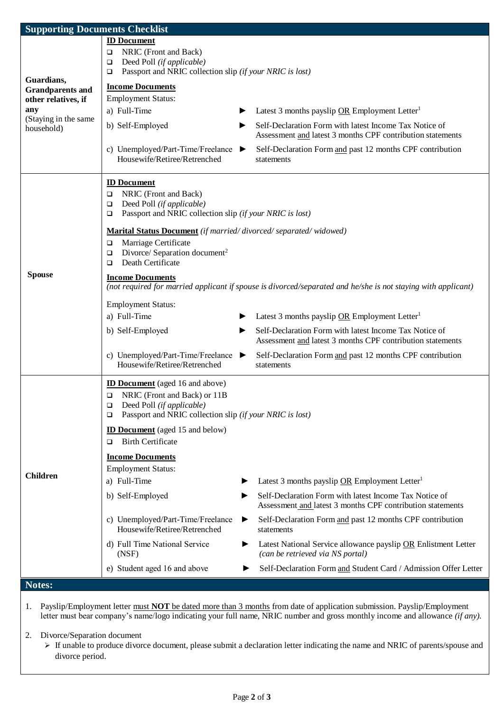| <b>Supporting Documents Checklist</b>                            |                                                                                                                                          |                                                                                                                      |  |  |
|------------------------------------------------------------------|------------------------------------------------------------------------------------------------------------------------------------------|----------------------------------------------------------------------------------------------------------------------|--|--|
|                                                                  | <b>ID Document</b>                                                                                                                       |                                                                                                                      |  |  |
|                                                                  | NRIC (Front and Back)<br>$\Box$                                                                                                          |                                                                                                                      |  |  |
|                                                                  | Deed Poll (if applicable)<br>$\Box$                                                                                                      |                                                                                                                      |  |  |
| Guardians,                                                       | Passport and NRIC collection slip (if your NRIC is lost)<br>$\Box$                                                                       |                                                                                                                      |  |  |
| <b>Grandparents and</b>                                          | <b>Income Documents</b>                                                                                                                  |                                                                                                                      |  |  |
| other relatives, if<br>any<br>(Staying in the same<br>household) | <b>Employment Status:</b>                                                                                                                |                                                                                                                      |  |  |
|                                                                  | a) Full-Time                                                                                                                             | Latest 3 months payslip OR Employment Letter <sup>1</sup>                                                            |  |  |
|                                                                  | b) Self-Employed<br>▶                                                                                                                    | Self-Declaration Form with latest Income Tax Notice of<br>Assessment and latest 3 months CPF contribution statements |  |  |
|                                                                  | c) Unemployed/Part-Time/Freelance $\blacktriangleright$<br>Housewife/Retiree/Retrenched                                                  | Self-Declaration Form and past 12 months CPF contribution<br>statements                                              |  |  |
|                                                                  | <b>ID Document</b>                                                                                                                       |                                                                                                                      |  |  |
|                                                                  | NRIC (Front and Back)<br>$\Box$                                                                                                          |                                                                                                                      |  |  |
|                                                                  | Deed Poll (if applicable)<br>$\Box$                                                                                                      |                                                                                                                      |  |  |
|                                                                  | Passport and NRIC collection slip (if your NRIC is lost)<br>$\Box$                                                                       |                                                                                                                      |  |  |
|                                                                  | Marital Status Document (if married/divorced/separated/widowed)                                                                          |                                                                                                                      |  |  |
|                                                                  | Marriage Certificate<br>$\Box$                                                                                                           |                                                                                                                      |  |  |
|                                                                  | Divorce/ Separation document <sup>2</sup><br>$\Box$                                                                                      |                                                                                                                      |  |  |
|                                                                  | Death Certificate<br>$\Box$                                                                                                              |                                                                                                                      |  |  |
| <b>Spouse</b>                                                    | <b>Income Documents</b><br>(not required for married applicant if spouse is divorced/separated and he/she is not staying with applicant) |                                                                                                                      |  |  |
|                                                                  | <b>Employment Status:</b>                                                                                                                |                                                                                                                      |  |  |
|                                                                  | a) Full-Time                                                                                                                             | Latest 3 months payslip OR Employment Letter <sup>1</sup>                                                            |  |  |
|                                                                  | b) Self-Employed<br>▶                                                                                                                    | Self-Declaration Form with latest Income Tax Notice of<br>Assessment and latest 3 months CPF contribution statements |  |  |
|                                                                  | c) Unemployed/Part-Time/Freelance<br>▶<br>Housewife/Retiree/Retrenched                                                                   | Self-Declaration Form and past 12 months CPF contribution<br>statements                                              |  |  |
|                                                                  | <b>ID Document</b> (aged 16 and above)                                                                                                   |                                                                                                                      |  |  |
|                                                                  | NRIC (Front and Back) or 11B<br>$\Box$                                                                                                   |                                                                                                                      |  |  |
|                                                                  | $\Box$<br>Deed Poll (if applicable)                                                                                                      |                                                                                                                      |  |  |
|                                                                  | Passport and NRIC collection slip (if your NRIC is lost)<br>$\Box$                                                                       |                                                                                                                      |  |  |
|                                                                  | <b>ID Document</b> (aged 15 and below)                                                                                                   |                                                                                                                      |  |  |
|                                                                  | <b>Birth Certificate</b>                                                                                                                 |                                                                                                                      |  |  |
|                                                                  | <b>Income Documents</b>                                                                                                                  |                                                                                                                      |  |  |
|                                                                  | <b>Employment Status:</b>                                                                                                                |                                                                                                                      |  |  |
| <b>Children</b>                                                  | a) Full-Time                                                                                                                             | Latest 3 months payslip OR Employment Letter <sup>1</sup>                                                            |  |  |
|                                                                  | b) Self-Employed<br>▶                                                                                                                    | Self-Declaration Form with latest Income Tax Notice of                                                               |  |  |
|                                                                  |                                                                                                                                          | Assessment and latest 3 months CPF contribution statements                                                           |  |  |
|                                                                  | c) Unemployed/Part-Time/Freelance<br>▶<br>Housewife/Retiree/Retrenched                                                                   | Self-Declaration Form and past 12 months CPF contribution<br>statements                                              |  |  |
|                                                                  | d) Full Time National Service<br>▶<br>(NSF)                                                                                              | Latest National Service allowance payslip OR Enlistment Letter<br>(can be retrieved via NS portal)                   |  |  |
|                                                                  | e) Student aged 16 and above                                                                                                             | Self-Declaration Form and Student Card / Admission Offer Letter                                                      |  |  |
| Notes:                                                           |                                                                                                                                          |                                                                                                                      |  |  |
|                                                                  |                                                                                                                                          |                                                                                                                      |  |  |

1. Payslip/Employment letter must **NOT** be dated more than 3 months from date of application submission. Payslip/Employment letter must bear company's name/logo indicating your full name, NRIC number and gross monthly income and allowance *(if any).*

2. Divorce/Separation document

If unable to produce divorce document, please submit a declaration letter indicating the name and NRIC of parents/spouse and divorce period.